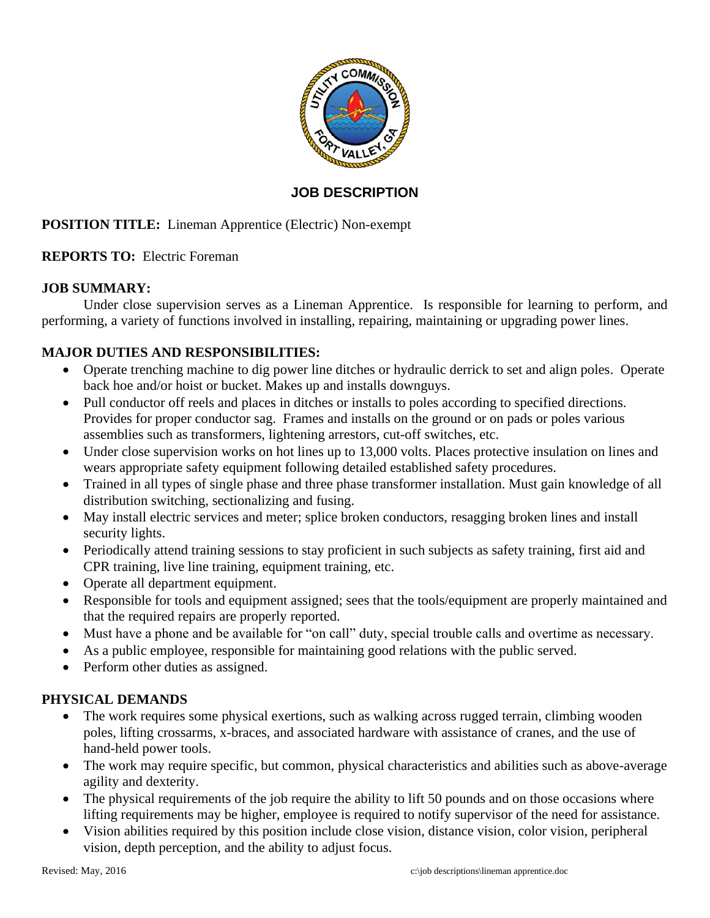

## **JOB DESCRIPTION**

# **POSITION TITLE:** Lineman Apprentice (Electric) Non-exempt

### **REPORTS TO:** Electric Foreman

### **JOB SUMMARY:**

Under close supervision serves as a Lineman Apprentice. Is responsible for learning to perform, and performing, a variety of functions involved in installing, repairing, maintaining or upgrading power lines.

### **MAJOR DUTIES AND RESPONSIBILITIES:**

- Operate trenching machine to dig power line ditches or hydraulic derrick to set and align poles. Operate back hoe and/or hoist or bucket. Makes up and installs downguys.
- Pull conductor off reels and places in ditches or installs to poles according to specified directions. Provides for proper conductor sag. Frames and installs on the ground or on pads or poles various assemblies such as transformers, lightening arrestors, cut-off switches, etc.
- Under close supervision works on hot lines up to 13,000 volts. Places protective insulation on lines and wears appropriate safety equipment following detailed established safety procedures.
- Trained in all types of single phase and three phase transformer installation. Must gain knowledge of all distribution switching, sectionalizing and fusing.
- May install electric services and meter; splice broken conductors, resagging broken lines and install security lights.
- Periodically attend training sessions to stay proficient in such subjects as safety training, first aid and CPR training, live line training, equipment training, etc.
- Operate all department equipment.
- Responsible for tools and equipment assigned; sees that the tools/equipment are properly maintained and that the required repairs are properly reported.
- Must have a phone and be available for "on call" duty, special trouble calls and overtime as necessary.
- As a public employee, responsible for maintaining good relations with the public served.
- Perform other duties as assigned.

#### **PHYSICAL DEMANDS**

- The work requires some physical exertions, such as walking across rugged terrain, climbing wooden poles, lifting crossarms, x-braces, and associated hardware with assistance of cranes, and the use of hand-held power tools.
- The work may require specific, but common, physical characteristics and abilities such as above-average agility and dexterity.
- The physical requirements of the job require the ability to lift 50 pounds and on those occasions where lifting requirements may be higher, employee is required to notify supervisor of the need for assistance.
- Vision abilities required by this position include close vision, distance vision, color vision, peripheral vision, depth perception, and the ability to adjust focus.